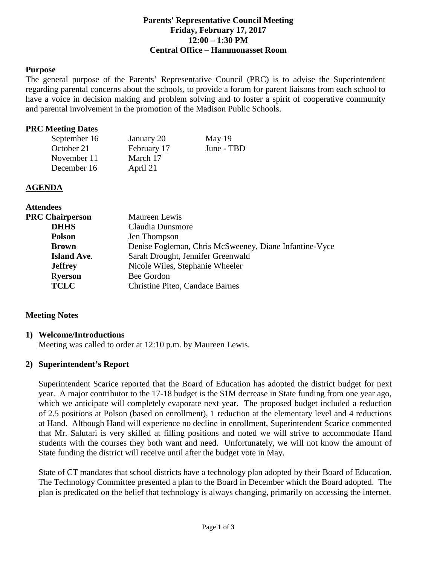#### **Parents' Representative Council Meeting Friday, February 17, 2017 12:00 – 1:30 PM Central Office – Hammonasset Room**

#### **Purpose**

The general purpose of the Parents' Representative Council (PRC) is to advise the Superintendent regarding parental concerns about the schools, to provide a forum for parent liaisons from each school to have a voice in decision making and problem solving and to foster a spirit of cooperative community and parental involvement in the promotion of the Madison Public Schools.

#### **PRC Meeting Dates**

| September 16 | January 20  | May $19$   |
|--------------|-------------|------------|
| October 21   | February 17 | June - TBD |
| November 11  | March 17    |            |
| December 16  | April 21    |            |

#### **AGENDA**

| <b>Attendees</b>       |                                                        |  |
|------------------------|--------------------------------------------------------|--|
| <b>PRC Chairperson</b> | Maureen Lewis                                          |  |
| <b>DHHS</b>            | Claudia Dunsmore                                       |  |
| <b>Polson</b>          | Jen Thompson                                           |  |
| <b>Brown</b>           | Denise Fogleman, Chris McSweeney, Diane Infantine-Vyce |  |
| <b>Island Ave.</b>     | Sarah Drought, Jennifer Greenwald                      |  |
| <b>Jeffrey</b>         | Nicole Wiles, Stephanie Wheeler                        |  |
| <b>Ryerson</b>         | Bee Gordon                                             |  |
| <b>TCLC</b>            | Christine Piteo, Candace Barnes                        |  |

#### **Meeting Notes**

#### **1) Welcome/Introductions**

Meeting was called to order at 12:10 p.m. by Maureen Lewis.

#### **2) Superintendent's Report**

Superintendent Scarice reported that the Board of Education has adopted the district budget for next year. A major contributor to the 17-18 budget is the \$1M decrease in State funding from one year ago, which we anticipate will completely evaporate next year. The proposed budget included a reduction of 2.5 positions at Polson (based on enrollment), 1 reduction at the elementary level and 4 reductions at Hand. Although Hand will experience no decline in enrollment, Superintendent Scarice commented that Mr. Salutari is very skilled at filling positions and noted we will strive to accommodate Hand students with the courses they both want and need. Unfortunately, we will not know the amount of State funding the district will receive until after the budget vote in May.

State of CT mandates that school districts have a technology plan adopted by their Board of Education. The Technology Committee presented a plan to the Board in December which the Board adopted. The plan is predicated on the belief that technology is always changing, primarily on accessing the internet.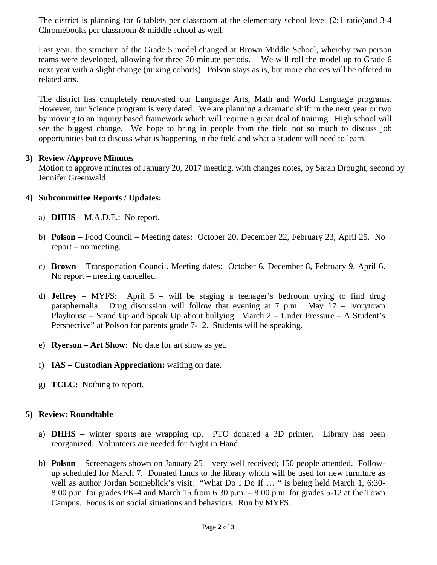The district is planning for 6 tablets per classroom at the elementary school level (2:1 ratio)and 3-4 Chromebooks per classroom & middle school as well.

Last year, the structure of the Grade 5 model changed at Brown Middle School, whereby two person teams were developed, allowing for three 70 minute periods. We will roll the model up to Grade 6 next year with a slight change (mixing cohorts). Polson stays as is, but more choices will be offered in related arts.

The district has completely renovated our Language Arts, Math and World Language programs. However, our Science program is very dated. We are planning a dramatic shift in the next year or two by moving to an inquiry based framework which will require a great deal of training. High school will see the biggest change. We hope to bring in people from the field not so much to discuss job opportunities but to discuss what is happening in the field and what a student will need to learn.

### **3) Review /Approve Minutes**

Motion to approve minutes of January 20, 2017 meeting, with changes notes, by Sarah Drought, second by Jennifer Greenwald.

## **4) Subcommittee Reports / Updates:**

- a) **DHHS** M.A.D.E.: No report.
- b) **Polson** Food Council Meeting dates: October 20, December 22, February 23, April 25. No report – no meeting.
- c) **Brown** Transportation Council. Meeting dates: October 6, December 8, February 9, April 6. No report – meeting cancelled.
- d) **Jeffrey** MYFS: April 5 will be staging a teenager's bedroom trying to find drug paraphernalia. Drug discussion will follow that evening at 7 p.m. May 17 – Ivorytown Playhouse – Stand Up and Speak Up about bullying. March 2 – Under Pressure – A Student's Perspective" at Polson for parents grade 7-12. Students will be speaking.
- e) **Ryerson – Art Show:** No date for art show as yet.
- f) **IAS – Custodian Appreciation:** waiting on date.
- g) **TCLC:** Nothing to report.

## **5) Review: Roundtable**

- a) **DHHS** winter sports are wrapping up. PTO donated a 3D printer. Library has been reorganized. Volunteers are needed for Night in Hand.
- b) **Polson** Screenagers shown on January 25 very well received; 150 people attended. Followup scheduled for March 7. Donated funds to the library which will be used for new furniture as well as author Jordan Sonneblick's visit. "What Do I Do If ..." is being held March 1, 6:30-8:00 p.m. for grades PK-4 and March 15 from 6:30 p.m. – 8:00 p.m. for grades 5-12 at the Town Campus. Focus is on social situations and behaviors. Run by MYFS.